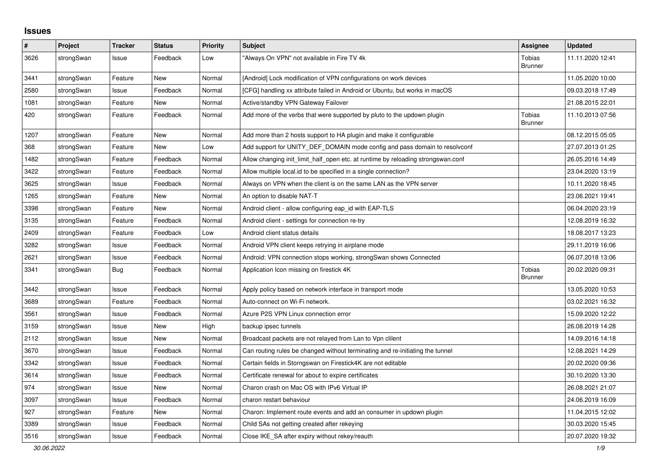## **Issues**

| #    | Project    | <b>Tracker</b> | <b>Status</b> | <b>Priority</b> | <b>Subject</b>                                                                   | <b>Assignee</b>                 | <b>Updated</b>   |
|------|------------|----------------|---------------|-----------------|----------------------------------------------------------------------------------|---------------------------------|------------------|
| 3626 | strongSwan | Issue          | Feedback      | Low             | 'Always On VPN" not available in Fire TV 4k                                      | Tobias<br><b>Brunner</b>        | 11.11.2020 12:41 |
| 3441 | strongSwan | Feature        | <b>New</b>    | Normal          | [Android] Lock modification of VPN configurations on work devices                |                                 | 11.05.2020 10:00 |
| 2580 | strongSwan | Issue          | Feedback      | Normal          | [CFG] handling xx attribute failed in Android or Ubuntu, but works in macOS      |                                 | 09.03.2018 17:49 |
| 1081 | strongSwan | Feature        | <b>New</b>    | Normal          | Active/standby VPN Gateway Failover                                              |                                 | 21.08.2015 22:01 |
| 420  | strongSwan | Feature        | Feedback      | Normal          | Add more of the verbs that were supported by pluto to the updown plugin          | <b>Tobias</b><br><b>Brunner</b> | 11.10.2013 07:56 |
| 1207 | strongSwan | Feature        | <b>New</b>    | Normal          | Add more than 2 hosts support to HA plugin and make it configurable              |                                 | 08.12.2015 05:05 |
| 368  | strongSwan | Feature        | New           | Low             | Add support for UNITY_DEF_DOMAIN mode config and pass domain to resolvconf       |                                 | 27.07.2013 01:25 |
| 1482 | strongSwan | Feature        | Feedback      | Normal          | Allow changing init limit half open etc. at runtime by reloading strongswan.conf |                                 | 26.05.2016 14:49 |
| 3422 | strongSwan | Feature        | Feedback      | Normal          | Allow multiple local id to be specified in a single connection?                  |                                 | 23.04.2020 13:19 |
| 3625 | strongSwan | Issue          | Feedback      | Normal          | Always on VPN when the client is on the same LAN as the VPN server               |                                 | 10.11.2020 18:45 |
| 1265 | strongSwan | Feature        | New           | Normal          | An option to disable NAT-T                                                       |                                 | 23.06.2021 19:41 |
| 3398 | strongSwan | Feature        | New           | Normal          | Android client - allow configuring eap_id with EAP-TLS                           |                                 | 06.04.2020 23:19 |
| 3135 | strongSwan | Feature        | Feedback      | Normal          | Android client - settings for connection re-try                                  |                                 | 12.08.2019 16:32 |
| 2409 | strongSwan | Feature        | Feedback      | Low             | Android client status details                                                    |                                 | 18.08.2017 13:23 |
| 3282 | strongSwan | Issue          | Feedback      | Normal          | Android VPN client keeps retrying in airplane mode                               |                                 | 29.11.2019 16:06 |
| 2621 | strongSwan | Issue          | Feedback      | Normal          | Android: VPN connection stops working, strongSwan shows Connected                |                                 | 06.07.2018 13:06 |
| 3341 | strongSwan | <b>Bug</b>     | Feedback      | Normal          | Application Icon missing on firestick 4K                                         | Tobias<br><b>Brunner</b>        | 20.02.2020 09:31 |
| 3442 | strongSwan | Issue          | Feedback      | Normal          | Apply policy based on network interface in transport mode                        |                                 | 13.05.2020 10:53 |
| 3689 | strongSwan | Feature        | Feedback      | Normal          | Auto-connect on Wi-Fi network.                                                   |                                 | 03.02.2021 16:32 |
| 3561 | strongSwan | Issue          | Feedback      | Normal          | Azure P2S VPN Linux connection error                                             |                                 | 15.09.2020 12:22 |
| 3159 | strongSwan | Issue          | New           | High            | backup ipsec tunnels                                                             |                                 | 26.08.2019 14:28 |
| 2112 | strongSwan | Issue          | <b>New</b>    | Normal          | Broadcast packets are not relayed from Lan to Vpn clilent                        |                                 | 14.09.2016 14:18 |
| 3670 | strongSwan | Issue          | Feedback      | Normal          | Can routing rules be changed without terminating and re-initiating the tunnel    |                                 | 12.08.2021 14:29 |
| 3342 | strongSwan | Issue          | Feedback      | Normal          | Certain fields in Storngswan on Firestick4K are not editable                     |                                 | 20.02.2020 09:36 |
| 3614 | strongSwan | Issue          | Feedback      | Normal          | Certificate renewal for about to expire certificates                             |                                 | 30.10.2020 13:30 |
| 974  | strongSwan | Issue          | <b>New</b>    | Normal          | Charon crash on Mac OS with IPv6 Virtual IP                                      |                                 | 26.08.2021 21:07 |
| 3097 | strongSwan | Issue          | Feedback      | Normal          | charon restart behaviour                                                         |                                 | 24.06.2019 16:09 |
| 927  | strongSwan | Feature        | New           | Normal          | Charon: Implement route events and add an consumer in updown plugin              |                                 | 11.04.2015 12:02 |
| 3389 | strongSwan | Issue          | Feedback      | Normal          | Child SAs not getting created after rekeying                                     |                                 | 30.03.2020 15:45 |
| 3516 | strongSwan | Issue          | Feedback      | Normal          | Close IKE SA after expiry without rekey/reauth                                   |                                 | 20.07.2020 19:32 |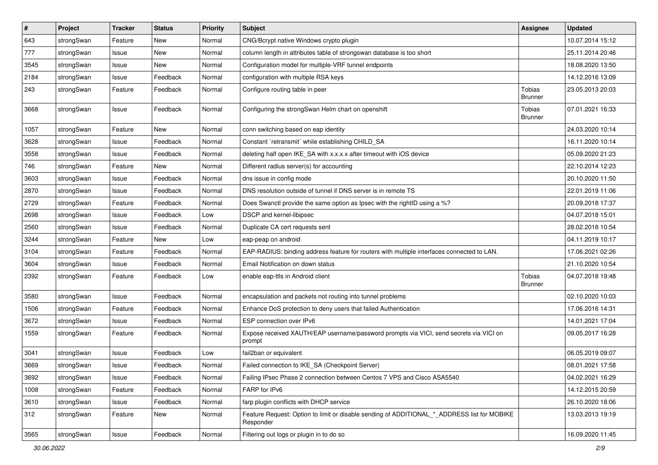| #    | Project    | <b>Tracker</b> | <b>Status</b> | <b>Priority</b> | <b>Subject</b>                                                                                            | <b>Assignee</b>          | <b>Updated</b>   |
|------|------------|----------------|---------------|-----------------|-----------------------------------------------------------------------------------------------------------|--------------------------|------------------|
| 643  | strongSwan | Feature        | New           | Normal          | CNG/Bcrypt native Windows crypto plugin                                                                   |                          | 10.07.2014 15:12 |
| 777  | strongSwan | Issue          | <b>New</b>    | Normal          | column length in attributes table of strongswan database is too short                                     |                          | 25.11.2014 20:46 |
| 3545 | strongSwan | Issue          | New           | Normal          | Configuration model for multiple-VRF tunnel endpoints                                                     |                          | 18.08.2020 13:50 |
| 2184 | strongSwan | Issue          | Feedback      | Normal          | configuration with multiple RSA keys                                                                      |                          | 14.12.2016 13:09 |
| 243  | strongSwan | Feature        | Feedback      | Normal          | Configure routing table in peer                                                                           | Tobias<br>Brunner        | 23.05.2013 20:03 |
| 3668 | strongSwan | Issue          | Feedback      | Normal          | Configuring the strongSwan Helm chart on openshift                                                        | Tobias<br><b>Brunner</b> | 07.01.2021 16:33 |
| 1057 | strongSwan | Feature        | New           | Normal          | conn switching based on eap identity                                                                      |                          | 24.03.2020 10:14 |
| 3628 | strongSwan | Issue          | Feedback      | Normal          | Constant `retransmit` while establishing CHILD_SA                                                         |                          | 16.11.2020 10:14 |
| 3558 | strongSwan | Issue          | Feedback      | Normal          | deleting half open IKE_SA with x.x.x.x after timeout with iOS device                                      |                          | 05.09.2020 21:23 |
| 746  | strongSwan | Feature        | New           | Normal          | Different radius server(s) for accounting                                                                 |                          | 22.10.2014 12:23 |
| 3603 | strongSwan | Issue          | Feedback      | Normal          | dns issue in config mode                                                                                  |                          | 20.10.2020 11:50 |
| 2870 | strongSwan | Issue          | Feedback      | Normal          | DNS resolution outside of tunnel if DNS server is in remote TS                                            |                          | 22.01.2019 11:06 |
| 2729 | strongSwan | Feature        | Feedback      | Normal          | Does Swanctl provide the same option as Ipsec with the rightID using a %?                                 |                          | 20.09.2018 17:37 |
| 2698 | strongSwan | Issue          | Feedback      | Low             | DSCP and kernel-libipsec                                                                                  |                          | 04.07.2018 15:01 |
| 2560 | strongSwan | Issue          | Feedback      | Normal          | Duplicate CA cert requests sent                                                                           |                          | 28.02.2018 10:54 |
| 3244 | strongSwan | Feature        | <b>New</b>    | Low             | eap-peap on android                                                                                       |                          | 04.11.2019 10:17 |
| 3104 | strongSwan | Feature        | Feedback      | Normal          | EAP-RADIUS: binding address feature for routers with multiple interfaces connected to LAN.                |                          | 17.06.2021 02:26 |
| 3604 | strongSwan | Issue          | Feedback      | Normal          | Email Notification on down status                                                                         |                          | 21.10.2020 10:54 |
| 2392 | strongSwan | Feature        | Feedback      | Low             | enable eap-ttls in Android client                                                                         | Tobias<br><b>Brunner</b> | 04.07.2018 19:48 |
| 3580 | strongSwan | Issue          | Feedback      | Normal          | encapsulation and packets not routing into tunnel problems                                                |                          | 02.10.2020 10:03 |
| 1506 | strongSwan | Feature        | Feedback      | Normal          | Enhance DoS protection to deny users that failed Authentication                                           |                          | 17.06.2016 14:31 |
| 3672 | strongSwan | Issue          | Feedback      | Normal          | ESP connection over IPv6                                                                                  |                          | 14.01.2021 17:04 |
| 1559 | strongSwan | Feature        | Feedback      | Normal          | Expose received XAUTH/EAP username/password prompts via VICI, send secrets via VICI on<br>prompt          |                          | 09.05.2017 16:28 |
| 3041 | strongSwan | Issue          | Feedback      | Low             | fail2ban or equivalent                                                                                    |                          | 06.05.2019 09:07 |
| 3669 | strongSwan | Issue          | Feedback      | Normal          | Failed connection to IKE_SA (Checkpoint Server)                                                           |                          | 08.01.2021 17:58 |
| 3692 | strongSwan | Issue          | Feedback      | Normal          | Failing IPsec Phase 2 connection between Centos 7 VPS and Cisco ASA5540                                   |                          | 04.02.2021 16:29 |
| 1008 | strongSwan | Feature        | Feedback      | Normal          | FARP for IPv6                                                                                             |                          | 14.12.2015 20:59 |
| 3610 | strongSwan | Issue          | Feedback      | Normal          | farp plugin conflicts with DHCP service                                                                   |                          | 26.10.2020 18:06 |
| 312  | strongSwan | Feature        | New           | Normal          | Feature Request: Option to limit or disable sending of ADDITIONAL *_ ADDRESS list for MOBIKE<br>Responder |                          | 13.03.2013 19:19 |
| 3565 | strongSwan | Issue          | Feedback      | Normal          | Filtering out logs or plugin in to do so                                                                  |                          | 16.09.2020 11:45 |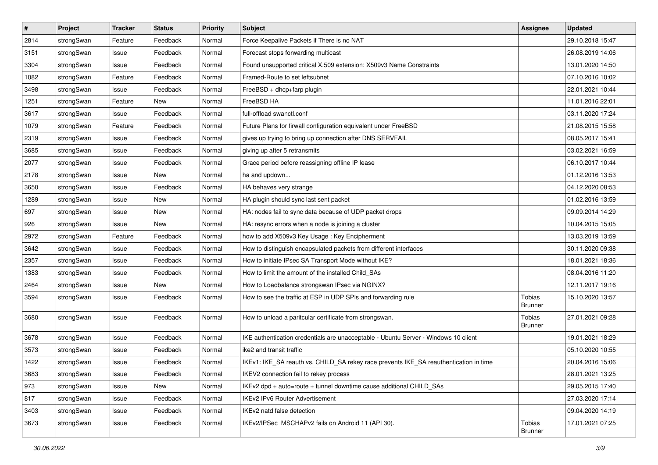| $\pmb{\#}$ | Project    | <b>Tracker</b> | <b>Status</b> | <b>Priority</b> | <b>Subject</b>                                                                        | <b>Assignee</b>                 | <b>Updated</b>   |
|------------|------------|----------------|---------------|-----------------|---------------------------------------------------------------------------------------|---------------------------------|------------------|
| 2814       | strongSwan | Feature        | Feedback      | Normal          | Force Keepalive Packets if There is no NAT                                            |                                 | 29.10.2018 15:47 |
| 3151       | strongSwan | Issue          | Feedback      | Normal          | Forecast stops forwarding multicast                                                   |                                 | 26.08.2019 14:06 |
| 3304       | strongSwan | Issue          | Feedback      | Normal          | Found unsupported critical X.509 extension: X509v3 Name Constraints                   |                                 | 13.01.2020 14:50 |
| 1082       | strongSwan | Feature        | Feedback      | Normal          | Framed-Route to set leftsubnet                                                        |                                 | 07.10.2016 10:02 |
| 3498       | strongSwan | Issue          | Feedback      | Normal          | FreeBSD + dhcp+farp plugin                                                            |                                 | 22.01.2021 10:44 |
| 1251       | strongSwan | Feature        | New           | Normal          | FreeBSD HA                                                                            |                                 | 11.01.2016 22:01 |
| 3617       | strongSwan | Issue          | Feedback      | Normal          | full-offload swanctl.conf                                                             |                                 | 03.11.2020 17:24 |
| 1079       | strongSwan | Feature        | Feedback      | Normal          | Future Plans for firwall configuration equivalent under FreeBSD                       |                                 | 21.08.2015 15:58 |
| 2319       | strongSwan | Issue          | Feedback      | Normal          | gives up trying to bring up connection after DNS SERVFAIL                             |                                 | 08.05.2017 15:41 |
| 3685       | strongSwan | Issue          | Feedback      | Normal          | giving up after 5 retransmits                                                         |                                 | 03.02.2021 16:59 |
| 2077       | strongSwan | Issue          | Feedback      | Normal          | Grace period before reassigning offline IP lease                                      |                                 | 06.10.2017 10:44 |
| 2178       | strongSwan | Issue          | New           | Normal          | ha and updown                                                                         |                                 | 01.12.2016 13:53 |
| 3650       | strongSwan | Issue          | Feedback      | Normal          | HA behaves very strange                                                               |                                 | 04.12.2020 08:53 |
| 1289       | strongSwan | Issue          | New           | Normal          | HA plugin should sync last sent packet                                                |                                 | 01.02.2016 13:59 |
| 697        | strongSwan | Issue          | <b>New</b>    | Normal          | HA: nodes fail to sync data because of UDP packet drops                               |                                 | 09.09.2014 14:29 |
| 926        | strongSwan | Issue          | New           | Normal          | HA: resync errors when a node is joining a cluster                                    |                                 | 10.04.2015 15:05 |
| 2972       | strongSwan | Feature        | Feedback      | Normal          | how to add X509v3 Key Usage: Key Encipherment                                         |                                 | 13.03.2019 13:59 |
| 3642       | strongSwan | Issue          | Feedback      | Normal          | How to distinguish encapsulated packets from different interfaces                     |                                 | 30.11.2020 09:38 |
| 2357       | strongSwan | Issue          | Feedback      | Normal          | How to initiate IPsec SA Transport Mode without IKE?                                  |                                 | 18.01.2021 18:36 |
| 1383       | strongSwan | Issue          | Feedback      | Normal          | How to limit the amount of the installed Child_SAs                                    |                                 | 08.04.2016 11:20 |
| 2464       | strongSwan | Issue          | New           | Normal          | How to Loadbalance strongswan IPsec via NGINX?                                        |                                 | 12.11.2017 19:16 |
| 3594       | strongSwan | Issue          | Feedback      | Normal          | How to see the traffic at ESP in UDP SPIs and forwarding rule                         | <b>Tobias</b><br><b>Brunner</b> | 15.10.2020 13:57 |
| 3680       | strongSwan | Issue          | Feedback      | Normal          | How to unload a paritcular certificate from strongswan.                               | Tobias<br><b>Brunner</b>        | 27.01.2021 09:28 |
| 3678       | strongSwan | Issue          | Feedback      | Normal          | IKE authentication credentials are unacceptable - Ubuntu Server - Windows 10 client   |                                 | 19.01.2021 18:29 |
| 3573       | strongSwan | Issue          | Feedback      | Normal          | ike2 and transit traffic                                                              |                                 | 05.10.2020 10:55 |
| 1422       | strongSwan | Issue          | Feedback      | Normal          | IKEv1: IKE_SA reauth vs. CHILD_SA rekey race prevents IKE_SA reauthentication in time |                                 | 20.04.2016 15:06 |
| 3683       | strongSwan | Issue          | Feedback      | Normal          | IKEV2 connection fail to rekey process                                                |                                 | 28.01.2021 13:25 |
| 973        | strongSwan | Issue          | New           | Normal          | IKEv2 dpd + auto=route + tunnel downtime cause additional CHILD SAs                   |                                 | 29.05.2015 17:40 |
| 817        | strongSwan | Issue          | Feedback      | Normal          | IKEv2 IPv6 Router Advertisement                                                       |                                 | 27.03.2020 17:14 |
| 3403       | strongSwan | Issue          | Feedback      | Normal          | IKEv2 natd false detection                                                            |                                 | 09.04.2020 14:19 |
| 3673       | strongSwan | Issue          | Feedback      | Normal          | IKEv2/IPSec MSCHAPv2 fails on Android 11 (API 30).                                    | Tobias<br>Brunner               | 17.01.2021 07:25 |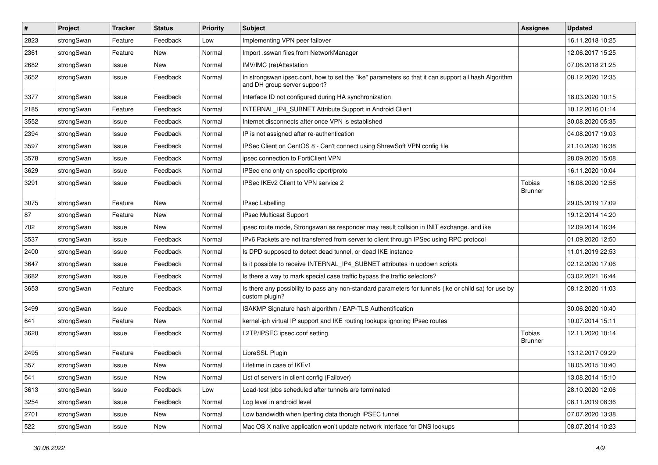| $\sharp$ | Project    | <b>Tracker</b> | <b>Status</b> | <b>Priority</b> | <b>Subject</b>                                                                                                                      | <b>Assignee</b>          | <b>Updated</b>   |
|----------|------------|----------------|---------------|-----------------|-------------------------------------------------------------------------------------------------------------------------------------|--------------------------|------------------|
| 2823     | strongSwan | Feature        | Feedback      | Low             | Implementing VPN peer failover                                                                                                      |                          | 16.11.2018 10:25 |
| 2361     | strongSwan | Feature        | New           | Normal          | Import .sswan files from NetworkManager                                                                                             |                          | 12.06.2017 15:25 |
| 2682     | strongSwan | Issue          | <b>New</b>    | Normal          | IMV/IMC (re)Attestation                                                                                                             |                          | 07.06.2018 21:25 |
| 3652     | strongSwan | Issue          | Feedback      | Normal          | In strongswan ipsec.conf, how to set the "ike" parameters so that it can support all hash Algorithm<br>and DH group server support? |                          | 08.12.2020 12:35 |
| 3377     | strongSwan | Issue          | Feedback      | Normal          | Interface ID not configured during HA synchronization                                                                               |                          | 18.03.2020 10:15 |
| 2185     | strongSwan | Feature        | Feedback      | Normal          | INTERNAL_IP4_SUBNET Attribute Support in Android Client                                                                             |                          | 10.12.2016 01:14 |
| 3552     | strongSwan | Issue          | Feedback      | Normal          | Internet disconnects after once VPN is established                                                                                  |                          | 30.08.2020 05:35 |
| 2394     | strongSwan | Issue          | Feedback      | Normal          | IP is not assigned after re-authentication                                                                                          |                          | 04.08.2017 19:03 |
| 3597     | strongSwan | Issue          | Feedback      | Normal          | IPSec Client on CentOS 8 - Can't connect using ShrewSoft VPN config file                                                            |                          | 21.10.2020 16:38 |
| 3578     | strongSwan | Issue          | Feedback      | Normal          | ipsec connection to FortiClient VPN                                                                                                 |                          | 28.09.2020 15:08 |
| 3629     | strongSwan | Issue          | Feedback      | Normal          | IPSec enc only on specific dport/proto                                                                                              |                          | 16.11.2020 10:04 |
| 3291     | strongSwan | Issue          | Feedback      | Normal          | IPSec IKEv2 Client to VPN service 2                                                                                                 | Tobias<br><b>Brunner</b> | 16.08.2020 12:58 |
| 3075     | strongSwan | Feature        | <b>New</b>    | Normal          | <b>IPsec Labelling</b>                                                                                                              |                          | 29.05.2019 17:09 |
| 87       | strongSwan | Feature        | New           | Normal          | <b>IPsec Multicast Support</b>                                                                                                      |                          | 19.12.2014 14:20 |
| 702      | strongSwan | Issue          | New           | Normal          | ipsec route mode, Strongswan as responder may result collsion in INIT exchange. and ike                                             |                          | 12.09.2014 16:34 |
| 3537     | strongSwan | Issue          | Feedback      | Normal          | IPv6 Packets are not transferred from server to client through IPSec using RPC protocol                                             |                          | 01.09.2020 12:50 |
| 2400     | strongSwan | Issue          | Feedback      | Normal          | Is DPD supposed to detect dead tunnel, or dead IKE instance                                                                         |                          | 11.01.2019 22:53 |
| 3647     | strongSwan | Issue          | Feedback      | Normal          | Is it possible to receive INTERNAL_IP4_SUBNET attributes in updown scripts                                                          |                          | 02.12.2020 17:06 |
| 3682     | strongSwan | Issue          | Feedback      | Normal          | Is there a way to mark special case traffic bypass the traffic selectors?                                                           |                          | 03.02.2021 16:44 |
| 3653     | strongSwan | Feature        | Feedback      | Normal          | Is there any possibility to pass any non-standard parameters for tunnels (ike or child sa) for use by<br>custom plugin?             |                          | 08.12.2020 11:03 |
| 3499     | strongSwan | Issue          | Feedback      | Normal          | ISAKMP Signature hash algorithm / EAP-TLS Authentification                                                                          |                          | 30.06.2020 10:40 |
| 641      | strongSwan | Feature        | New           | Normal          | kernel-iph virtual IP support and IKE routing lookups ignoring IPsec routes                                                         |                          | 10.07.2014 15:11 |
| 3620     | strongSwan | Issue          | Feedback      | Normal          | L2TP/IPSEC ipsec.conf setting                                                                                                       | Tobias<br>Brunner        | 12.11.2020 10:14 |
| 2495     | strongSwan | Feature        | Feedback      | Normal          | LibreSSL Plugin                                                                                                                     |                          | 13.12.2017 09:29 |
| 357      | strongSwan | Issue          | New           | Normal          | Lifetime in case of IKEv1                                                                                                           |                          | 18.05.2015 10:40 |
| 541      | strongSwan | Issue          | New           | Normal          | List of servers in client config (Failover)                                                                                         |                          | 13.08.2014 15:10 |
| 3613     | strongSwan | Issue          | Feedback      | Low             | Load-test jobs scheduled after tunnels are terminated                                                                               |                          | 28.10.2020 12:06 |
| 3254     | strongSwan | Issue          | Feedback      | Normal          | Log level in android level                                                                                                          |                          | 08.11.2019 08:36 |
| 2701     | strongSwan | Issue          | New           | Normal          | Low bandwidth when Iperfing data thorugh IPSEC tunnel                                                                               |                          | 07.07.2020 13:38 |
| 522      | strongSwan | Issue          | New           | Normal          | Mac OS X native application won't update network interface for DNS lookups                                                          |                          | 08.07.2014 10:23 |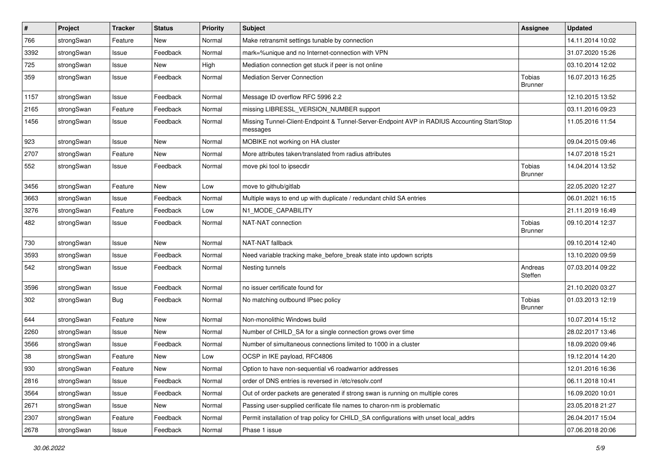| $\pmb{\#}$ | Project    | Tracker | <b>Status</b> | <b>Priority</b> | <b>Subject</b>                                                                                          | <b>Assignee</b>                 | <b>Updated</b>   |
|------------|------------|---------|---------------|-----------------|---------------------------------------------------------------------------------------------------------|---------------------------------|------------------|
| 766        | strongSwan | Feature | New           | Normal          | Make retransmit settings tunable by connection                                                          |                                 | 14.11.2014 10:02 |
| 3392       | strongSwan | Issue   | Feedback      | Normal          | mark=%unique and no Internet-connection with VPN                                                        |                                 | 31.07.2020 15:26 |
| 725        | strongSwan | Issue   | New           | High            | Mediation connection get stuck if peer is not online                                                    |                                 | 03.10.2014 12:02 |
| 359        | strongSwan | Issue   | Feedback      | Normal          | <b>Mediation Server Connection</b>                                                                      | <b>Tobias</b><br><b>Brunner</b> | 16.07.2013 16:25 |
| 1157       | strongSwan | Issue   | Feedback      | Normal          | Message ID overflow RFC 5996 2.2                                                                        |                                 | 12.10.2015 13:52 |
| 2165       | strongSwan | Feature | Feedback      | Normal          | missing LIBRESSL_VERSION_NUMBER support                                                                 |                                 | 03.11.2016 09:23 |
| 1456       | strongSwan | Issue   | Feedback      | Normal          | Missing Tunnel-Client-Endpoint & Tunnel-Server-Endpoint AVP in RADIUS Accounting Start/Stop<br>messages |                                 | 11.05.2016 11:54 |
| 923        | strongSwan | Issue   | <b>New</b>    | Normal          | MOBIKE not working on HA cluster                                                                        |                                 | 09.04.2015 09:46 |
| 2707       | strongSwan | Feature | New           | Normal          | More attributes taken/translated from radius attributes                                                 |                                 | 14.07.2018 15:21 |
| 552        | strongSwan | Issue   | Feedback      | Normal          | move pki tool to ipsecdir                                                                               | Tobias<br><b>Brunner</b>        | 14.04.2014 13:52 |
| 3456       | strongSwan | Feature | New           | Low             | move to github/gitlab                                                                                   |                                 | 22.05.2020 12:27 |
| 3663       | strongSwan | Issue   | Feedback      | Normal          | Multiple ways to end up with duplicate / redundant child SA entries                                     |                                 | 06.01.2021 16:15 |
| 3276       | strongSwan | Feature | Feedback      | Low             | N1_MODE_CAPABILITY                                                                                      |                                 | 21.11.2019 16:49 |
| 482        | strongSwan | Issue   | Feedback      | Normal          | NAT-NAT connection                                                                                      | Tobias<br><b>Brunner</b>        | 09.10.2014 12:37 |
| 730        | strongSwan | Issue   | New           | Normal          | NAT-NAT fallback                                                                                        |                                 | 09.10.2014 12:40 |
| 3593       | strongSwan | Issue   | Feedback      | Normal          | Need variable tracking make_before_break state into updown scripts                                      |                                 | 13.10.2020 09:59 |
| 542        | strongSwan | Issue   | Feedback      | Normal          | Nesting tunnels                                                                                         | Andreas<br>Steffen              | 07.03.2014 09:22 |
| 3596       | strongSwan | Issue   | Feedback      | Normal          | no issuer certificate found for                                                                         |                                 | 21.10.2020 03:27 |
| 302        | strongSwan | Bug     | Feedback      | Normal          | No matching outbound IPsec policy                                                                       | Tobias<br><b>Brunner</b>        | 01.03.2013 12:19 |
| 644        | strongSwan | Feature | <b>New</b>    | Normal          | Non-monolithic Windows build                                                                            |                                 | 10.07.2014 15:12 |
| 2260       | strongSwan | Issue   | New           | Normal          | Number of CHILD_SA for a single connection grows over time                                              |                                 | 28.02.2017 13:46 |
| 3566       | strongSwan | Issue   | Feedback      | Normal          | Number of simultaneous connections limited to 1000 in a cluster                                         |                                 | 18.09.2020 09:46 |
| 38         | strongSwan | Feature | New           | Low             | OCSP in IKE payload, RFC4806                                                                            |                                 | 19.12.2014 14:20 |
| 930        | strongSwan | Feature | New           | Normal          | Option to have non-sequential v6 roadwarrior addresses                                                  |                                 | 12.01.2016 16:36 |
| 2816       | strongSwan | Issue   | Feedback      | Normal          | order of DNS entries is reversed in /etc/resolv.conf                                                    |                                 | 06.11.2018 10:41 |
| 3564       | strongSwan | Issue   | Feedback      | Normal          | Out of order packets are generated if strong swan is running on multiple cores                          |                                 | 16.09.2020 10:01 |
| 2671       | strongSwan | Issue   | New           | Normal          | Passing user-supplied cerificate file names to charon-nm is problematic                                 |                                 | 23.05.2018 21:27 |
| 2307       | strongSwan | Feature | Feedback      | Normal          | Permit installation of trap policy for CHILD_SA configurations with unset local_addrs                   |                                 | 26.04.2017 15:04 |
| 2678       | strongSwan | Issue   | Feedback      | Normal          | Phase 1 issue                                                                                           |                                 | 07.06.2018 20:06 |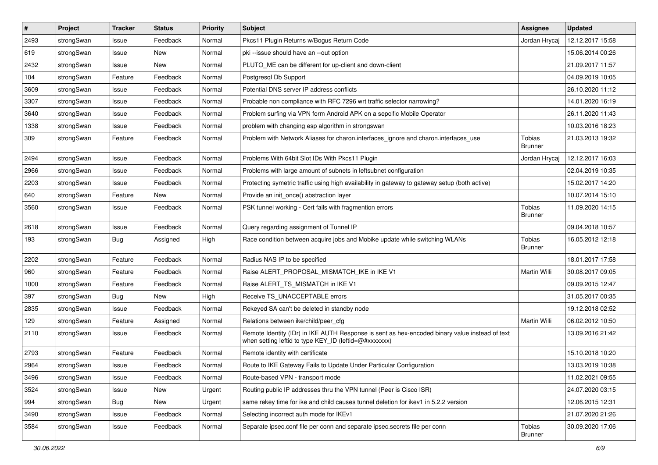| #    | Project    | <b>Tracker</b> | <b>Status</b> | <b>Priority</b> | <b>Subject</b>                                                                                                                                          | <b>Assignee</b>          | <b>Updated</b>   |
|------|------------|----------------|---------------|-----------------|---------------------------------------------------------------------------------------------------------------------------------------------------------|--------------------------|------------------|
| 2493 | strongSwan | Issue          | Feedback      | Normal          | Pkcs11 Plugin Returns w/Bogus Return Code                                                                                                               | Jordan Hrycaj            | 12.12.2017 15:58 |
| 619  | strongSwan | Issue          | <b>New</b>    | Normal          | pki --issue should have an --out option                                                                                                                 |                          | 15.06.2014 00:26 |
| 2432 | strongSwan | Issue          | New           | Normal          | PLUTO_ME can be different for up-client and down-client                                                                                                 |                          | 21.09.2017 11:57 |
| 104  | strongSwan | Feature        | Feedback      | Normal          | Postgresql Db Support                                                                                                                                   |                          | 04.09.2019 10:05 |
| 3609 | strongSwan | Issue          | Feedback      | Normal          | Potential DNS server IP address conflicts                                                                                                               |                          | 26.10.2020 11:12 |
| 3307 | strongSwan | Issue          | Feedback      | Normal          | Probable non compliance with RFC 7296 wrt traffic selector narrowing?                                                                                   |                          | 14.01.2020 16:19 |
| 3640 | strongSwan | Issue          | Feedback      | Normal          | Problem surfing via VPN form Android APK on a sepcific Mobile Operator                                                                                  |                          | 26.11.2020 11:43 |
| 1338 | strongSwan | Issue          | Feedback      | Normal          | problem with changing esp algorithm in strongswan                                                                                                       |                          | 10.03.2016 18:23 |
| 309  | strongSwan | Feature        | Feedback      | Normal          | Problem with Network Aliases for charon.interfaces_ignore and charon.interfaces_use                                                                     | Tobias<br><b>Brunner</b> | 21.03.2013 19:32 |
| 2494 | strongSwan | Issue          | Feedback      | Normal          | Problems With 64bit Slot IDs With Pkcs11 Plugin                                                                                                         | Jordan Hrycaj            | 12.12.2017 16:03 |
| 2966 | strongSwan | Issue          | Feedback      | Normal          | Problems with large amount of subnets in leftsubnet configuration                                                                                       |                          | 02.04.2019 10:35 |
| 2203 | strongSwan | Issue          | Feedback      | Normal          | Protecting symetric traffic using high availability in gateway to gateway setup (both active)                                                           |                          | 15.02.2017 14:20 |
| 640  | strongSwan | Feature        | New           | Normal          | Provide an init_once() abstraction layer                                                                                                                |                          | 10.07.2014 15:10 |
| 3560 | strongSwan | Issue          | Feedback      | Normal          | PSK tunnel working - Cert fails with fragmention errors                                                                                                 | Tobias<br><b>Brunner</b> | 11.09.2020 14:15 |
| 2618 | strongSwan | Issue          | Feedback      | Normal          | Query regarding assignment of Tunnel IP                                                                                                                 |                          | 09.04.2018 10:57 |
| 193  | strongSwan | Bug            | Assigned      | High            | Race condition between acquire jobs and Mobike update while switching WLANs                                                                             | Tobias<br><b>Brunner</b> | 16.05.2012 12:18 |
| 2202 | strongSwan | Feature        | Feedback      | Normal          | Radius NAS IP to be specified                                                                                                                           |                          | 18.01.2017 17:58 |
| 960  | strongSwan | Feature        | Feedback      | Normal          | Raise ALERT_PROPOSAL_MISMATCH_IKE in IKE V1                                                                                                             | Martin Willi             | 30.08.2017 09:05 |
| 1000 | strongSwan | Feature        | Feedback      | Normal          | Raise ALERT_TS_MISMATCH in IKE V1                                                                                                                       |                          | 09.09.2015 12:47 |
| 397  | strongSwan | <b>Bug</b>     | <b>New</b>    | High            | Receive TS_UNACCEPTABLE errors                                                                                                                          |                          | 31.05.2017 00:35 |
| 2835 | strongSwan | Issue          | Feedback      | Normal          | Rekeyed SA can't be deleted in standby node                                                                                                             |                          | 19.12.2018 02:52 |
| 129  | strongSwan | Feature        | Assigned      | Normal          | Relations between ike/child/peer_cfg                                                                                                                    | Martin Willi             | 06.02.2012 10:50 |
| 2110 | strongSwan | Issue          | Feedback      | Normal          | Remote Identity (IDr) in IKE AUTH Response is sent as hex-encoded binary value instead of text<br>when setting leftid to type KEY_ID (leftid=@#xxxxxxx) |                          | 13.09.2016 21:42 |
| 2793 | strongSwan | Feature        | Feedback      | Normal          | Remote identity with certificate                                                                                                                        |                          | 15.10.2018 10:20 |
| 2964 | strongSwan | Issue          | Feedback      | Normal          | Route to IKE Gateway Fails to Update Under Particular Configuration                                                                                     |                          | 13.03.2019 10:38 |
| 3496 | strongSwan | Issue          | Feedback      | Normal          | Route-based VPN - transport mode                                                                                                                        |                          | 11.02.2021 09:55 |
| 3524 | strongSwan | Issue          | New           | Urgent          | Routing public IP addresses thru the VPN tunnel (Peer is Cisco ISR)                                                                                     |                          | 24.07.2020 03:15 |
| 994  | strongSwan | Bug            | New           | Urgent          | same rekey time for ike and child causes tunnel deletion for ikev1 in 5.2.2 version                                                                     |                          | 12.06.2015 12:31 |
| 3490 | strongSwan | Issue          | Feedback      | Normal          | Selecting incorrect auth mode for IKEv1                                                                                                                 |                          | 21.07.2020 21:26 |
| 3584 | strongSwan | Issue          | Feedback      | Normal          | Separate ipsec.conf file per conn and separate ipsec.secrets file per conn                                                                              | Tobias<br><b>Brunner</b> | 30.09.2020 17:06 |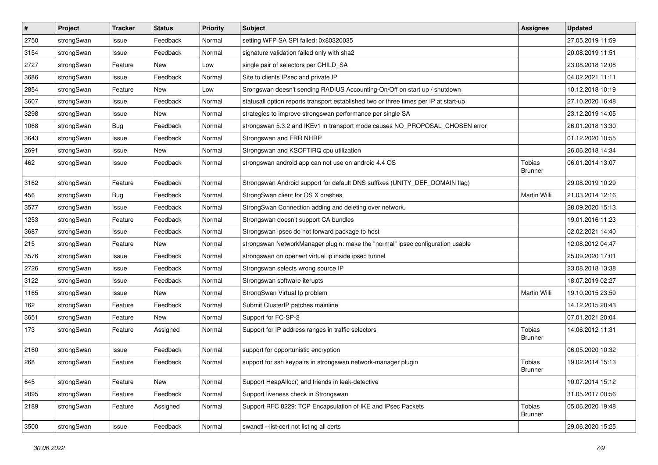| $\vert$ # | Project    | <b>Tracker</b> | <b>Status</b> | <b>Priority</b> | Subject                                                                              | <b>Assignee</b>          | <b>Updated</b>   |
|-----------|------------|----------------|---------------|-----------------|--------------------------------------------------------------------------------------|--------------------------|------------------|
| 2750      | strongSwan | Issue          | Feedback      | Normal          | setting WFP SA SPI failed: 0x80320035                                                |                          | 27.05.2019 11:59 |
| 3154      | strongSwan | Issue          | Feedback      | Normal          | signature validation failed only with sha2                                           |                          | 20.08.2019 11:51 |
| 2727      | strongSwan | Feature        | New           | Low             | single pair of selectors per CHILD_SA                                                |                          | 23.08.2018 12:08 |
| 3686      | strongSwan | Issue          | Feedback      | Normal          | Site to clients IPsec and private IP                                                 |                          | 04.02.2021 11:11 |
| 2854      | strongSwan | Feature        | New           | Low             | Srongswan doesn't sending RADIUS Accounting-On/Off on start up / shutdown            |                          | 10.12.2018 10:19 |
| 3607      | strongSwan | Issue          | Feedback      | Normal          | statusall option reports transport established two or three times per IP at start-up |                          | 27.10.2020 16:48 |
| 3298      | strongSwan | Issue          | New           | Normal          | strategies to improve strongswan performance per single SA                           |                          | 23.12.2019 14:05 |
| 1068      | strongSwan | Bug            | Feedback      | Normal          | strongswan 5.3.2 and IKEv1 in transport mode causes NO_PROPOSAL_CHOSEN error         |                          | 26.01.2018 13:30 |
| 3643      | strongSwan | Issue          | Feedback      | Normal          | Strongswan and FRR NHRP                                                              |                          | 01.12.2020 10:55 |
| 2691      | strongSwan | Issue          | New           | Normal          | Strongswan and KSOFTIRQ cpu utilization                                              |                          | 26.06.2018 14:34 |
| 462       | strongSwan | Issue          | Feedback      | Normal          | strongswan android app can not use on android 4.4 OS                                 | Tobias<br><b>Brunner</b> | 06.01.2014 13:07 |
| 3162      | strongSwan | Feature        | Feedback      | Normal          | Strongswan Android support for default DNS suffixes (UNITY_DEF_DOMAIN flag)          |                          | 29.08.2019 10:29 |
| 456       | strongSwan | <b>Bug</b>     | Feedback      | Normal          | StrongSwan client for OS X crashes                                                   | Martin Willi             | 21.03.2014 12:16 |
| 3577      | strongSwan | Issue          | Feedback      | Normal          | StrongSwan Connection adding and deleting over network.                              |                          | 28.09.2020 15:13 |
| 1253      | strongSwan | Feature        | Feedback      | Normal          | Strongswan doesn't support CA bundles                                                |                          | 19.01.2016 11:23 |
| 3687      | strongSwan | Issue          | Feedback      | Normal          | Strongswan ipsec do not forward package to host                                      |                          | 02.02.2021 14:40 |
| 215       | strongSwan | Feature        | New           | Normal          | strongswan NetworkManager plugin: make the "normal" ipsec configuration usable       |                          | 12.08.2012 04:47 |
| 3576      | strongSwan | Issue          | Feedback      | Normal          | strongswan on openwrt virtual ip inside ipsec tunnel                                 |                          | 25.09.2020 17:01 |
| 2726      | strongSwan | Issue          | Feedback      | Normal          | Strongswan selects wrong source IP                                                   |                          | 23.08.2018 13:38 |
| 3122      | strongSwan | Issue          | Feedback      | Normal          | Strongswan software iterupts                                                         |                          | 18.07.2019 02:27 |
| 1165      | strongSwan | Issue          | <b>New</b>    | Normal          | StrongSwan Virtual Ip problem                                                        | Martin Willi             | 19.10.2015 23:59 |
| 162       | strongSwan | Feature        | Feedback      | Normal          | Submit ClusterIP patches mainline                                                    |                          | 14.12.2015 20:43 |
| 3651      | strongSwan | Feature        | New           | Normal          | Support for FC-SP-2                                                                  |                          | 07.01.2021 20:04 |
| 173       | strongSwan | Feature        | Assigned      | Normal          | Support for IP address ranges in traffic selectors                                   | Tobias<br><b>Brunner</b> | 14.06.2012 11:31 |
| 2160      | strongSwan | Issue          | Feedback      | Normal          | support for opportunistic encryption                                                 |                          | 06.05.2020 10:32 |
| 268       | strongSwan | Feature        | Feedback      | Normal          | support for ssh keypairs in strongswan network-manager plugin                        | Tobias<br><b>Brunner</b> | 19.02.2014 15:13 |
| 645       | strongSwan | Feature        | New           | Normal          | Support HeapAlloc() and friends in leak-detective                                    |                          | 10.07.2014 15:12 |
| 2095      | strongSwan | Feature        | Feedback      | Normal          | Support liveness check in Strongswan                                                 |                          | 31.05.2017 00:56 |
| 2189      | strongSwan | Feature        | Assigned      | Normal          | Support RFC 8229: TCP Encapsulation of IKE and IPsec Packets                         | Tobias<br><b>Brunner</b> | 05.06.2020 19:48 |
| 3500      | strongSwan | Issue          | Feedback      | Normal          | swanctl --list-cert not listing all certs                                            |                          | 29.06.2020 15:25 |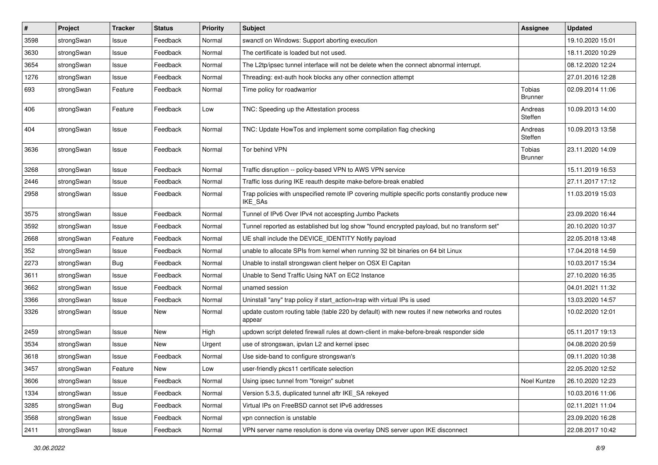| $\sharp$ | Project    | <b>Tracker</b> | <b>Status</b> | <b>Priority</b> | <b>Subject</b>                                                                                              | <b>Assignee</b>          | <b>Updated</b>   |
|----------|------------|----------------|---------------|-----------------|-------------------------------------------------------------------------------------------------------------|--------------------------|------------------|
| 3598     | strongSwan | Issue          | Feedback      | Normal          | swanctl on Windows: Support aborting execution                                                              |                          | 19.10.2020 15:01 |
| 3630     | strongSwan | Issue          | Feedback      | Normal          | The certificate is loaded but not used.                                                                     |                          | 18.11.2020 10:29 |
| 3654     | strongSwan | Issue          | Feedback      | Normal          | The L2tp/ipsec tunnel interface will not be delete when the connect abnormal interrupt.                     |                          | 08.12.2020 12:24 |
| 1276     | strongSwan | Issue          | Feedback      | Normal          | Threading: ext-auth hook blocks any other connection attempt                                                |                          | 27.01.2016 12:28 |
| 693      | strongSwan | Feature        | Feedback      | Normal          | Time policy for roadwarrior                                                                                 | Tobias<br>Brunner        | 02.09.2014 11:06 |
| 406      | strongSwan | Feature        | Feedback      | Low             | TNC: Speeding up the Attestation process                                                                    | Andreas<br>Steffen       | 10.09.2013 14:00 |
| 404      | strongSwan | Issue          | Feedback      | Normal          | TNC: Update HowTos and implement some compilation flag checking                                             | Andreas<br>Steffen       | 10.09.2013 13:58 |
| 3636     | strongSwan | Issue          | Feedback      | Normal          | Tor behind VPN                                                                                              | Tobias<br><b>Brunner</b> | 23.11.2020 14:09 |
| 3268     | strongSwan | Issue          | Feedback      | Normal          | Traffic disruption -- policy-based VPN to AWS VPN service                                                   |                          | 15.11.2019 16:53 |
| 2446     | strongSwan | Issue          | Feedback      | Normal          | Traffic loss during IKE reauth despite make-before-break enabled                                            |                          | 27.11.2017 17:12 |
| 2958     | strongSwan | Issue          | Feedback      | Normal          | Trap policies with unspecified remote IP covering multiple specific ports constantly produce new<br>IKE_SAs |                          | 11.03.2019 15:03 |
| 3575     | strongSwan | Issue          | Feedback      | Normal          | Tunnel of IPv6 Over IPv4 not accespting Jumbo Packets                                                       |                          | 23.09.2020 16:44 |
| 3592     | strongSwan | Issue          | Feedback      | Normal          | Tunnel reported as established but log show "found encrypted payload, but no transform set"                 |                          | 20.10.2020 10:37 |
| 2668     | strongSwan | Feature        | Feedback      | Normal          | UE shall include the DEVICE_IDENTITY Notify payload                                                         |                          | 22.05.2018 13:48 |
| 352      | strongSwan | Issue          | Feedback      | Normal          | unable to allocate SPIs from kernel when running 32 bit binaries on 64 bit Linux                            |                          | 17.04.2018 14:59 |
| 2273     | strongSwan | <b>Bug</b>     | Feedback      | Normal          | Unable to install strongswan client helper on OSX El Capitan                                                |                          | 10.03.2017 15:34 |
| 3611     | strongSwan | Issue          | Feedback      | Normal          | Unable to Send Traffic Using NAT on EC2 Instance                                                            |                          | 27.10.2020 16:35 |
| 3662     | strongSwan | Issue          | Feedback      | Normal          | unamed session                                                                                              |                          | 04.01.2021 11:32 |
| 3366     | strongSwan | Issue          | Feedback      | Normal          | Uninstall "any" trap policy if start_action=trap with virtual IPs is used                                   |                          | 13.03.2020 14:57 |
| 3326     | strongSwan | Issue          | New           | Normal          | update custom routing table (table 220 by default) with new routes if new networks and routes<br>appear     |                          | 10.02.2020 12:01 |
| 2459     | strongSwan | Issue          | <b>New</b>    | High            | updown script deleted firewall rules at down-client in make-before-break responder side                     |                          | 05.11.2017 19:13 |
| 3534     | strongSwan | Issue          | New           | Urgent          | use of strongswan, ipvlan L2 and kernel ipsec                                                               |                          | 04.08.2020 20:59 |
| 3618     | strongSwan | Issue          | Feedback      | Normal          | Use side-band to configure strongswan's                                                                     |                          | 09.11.2020 10:38 |
| 3457     | strongSwan | Feature        | <b>New</b>    | Low             | user-friendly pkcs11 certificate selection                                                                  |                          | 22.05.2020 12:52 |
| 3606     | strongSwan | Issue          | Feedback      | Normal          | Using ipsec tunnel from "foreign" subnet                                                                    | Noel Kuntze              | 26.10.2020 12:23 |
| 1334     | strongSwan | Issue          | Feedback      | Normal          | Version 5.3.5, duplicated tunnel aftr IKE SA rekeyed                                                        |                          | 10.03.2016 11:06 |
| 3285     | strongSwan | <b>Bug</b>     | Feedback      | Normal          | Virtual IPs on FreeBSD cannot set IPv6 addresses                                                            |                          | 02.11.2021 11:04 |
| 3568     | strongSwan | Issue          | Feedback      | Normal          | vpn connection is unstable                                                                                  |                          | 23.09.2020 16:28 |
| 2411     | strongSwan | Issue          | Feedback      | Normal          | VPN server name resolution is done via overlay DNS server upon IKE disconnect                               |                          | 22.08.2017 10:42 |